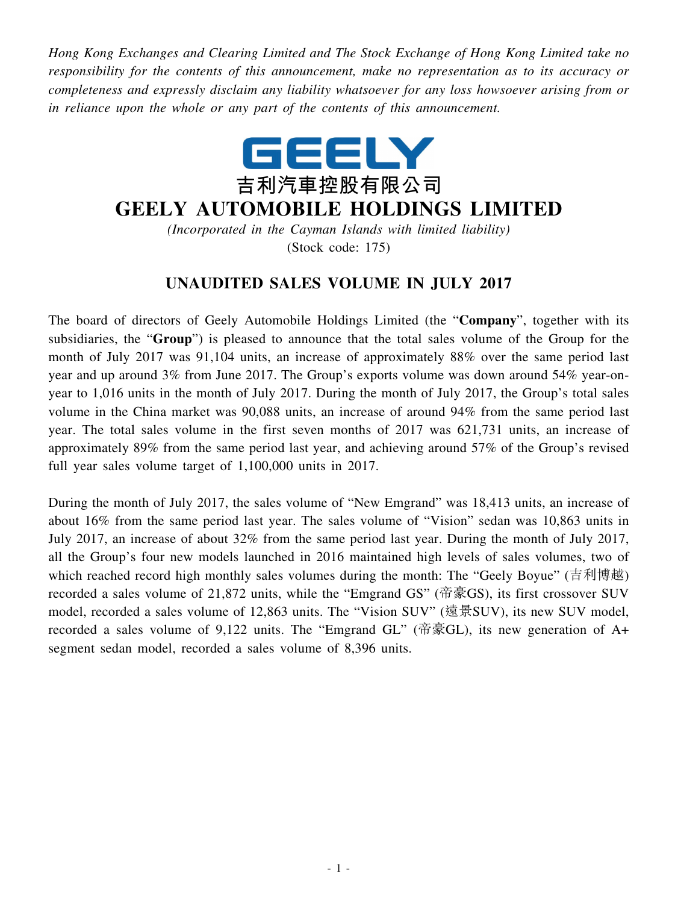*Hong Kong Exchanges and Clearing Limited and The Stock Exchange of Hong Kong Limited take no responsibility for the contents of this announcement, make no representation as to its accuracy or completeness and expressly disclaim any liability whatsoever for any loss howsoever arising from or in reliance upon the whole or any part of the contents of this announcement.*



## **GEELY AUTOMOBILE HOLDINGS LIMITED**

*(Incorporated in the Cayman Islands with limited liability)* (Stock code: 175)

## **UNAUDITED SALES VOLUME IN JULY 2017**

The board of directors of Geely Automobile Holdings Limited (the "**Company**", together with its subsidiaries, the "**Group**") is pleased to announce that the total sales volume of the Group for the month of July 2017 was 91,104 units, an increase of approximately 88% over the same period last year and up around 3% from June 2017. The Group's exports volume was down around 54% year-onyear to 1,016 units in the month of July 2017. During the month of July 2017, the Group's total sales volume in the China market was 90,088 units, an increase of around 94% from the same period last year. The total sales volume in the first seven months of 2017 was 621,731 units, an increase of approximately 89% from the same period last year, and achieving around 57% of the Group's revised full year sales volume target of 1,100,000 units in 2017.

During the month of July 2017, the sales volume of "New Emgrand" was 18,413 units, an increase of about 16% from the same period last year. The sales volume of "Vision" sedan was 10,863 units in July 2017, an increase of about 32% from the same period last year. During the month of July 2017, all the Group's four new models launched in 2016 maintained high levels of sales volumes, two of which reached record high monthly sales volumes during the month: The "Geely Boyue" (吉利博越) recorded a sales volume of 21,872 units, while the "Emgrand GS" (帝豪GS), its first crossover SUV model, recorded a sales volume of 12,863 units. The "Vision SUV" (遠景SUV), its new SUV model, recorded a sales volume of 9,122 units. The "Emgrand GL" (帝豪GL), its new generation of A+ segment sedan model, recorded a sales volume of 8,396 units.